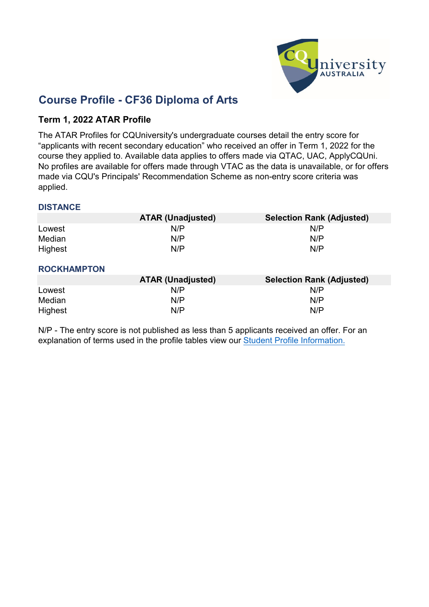

## **Course Profile - CF36 Diploma of Arts**

### **Term 1, 2022 ATAR Profile**

The ATAR Profiles for CQUniversity's undergraduate courses detail the entry score for "applicants with recent secondary education" who received an offer in Term 1, 2022 for the course they applied to. Available data applies to offers made via QTAC, UAC, ApplyCQUni. No profiles are available for offers made through VTAC as the data is unavailable, or for offers made via CQU's Principals' Recommendation Scheme as non-entry score criteria was applied.

#### **DISTANCE**

|         | <b>ATAR (Unadjusted)</b> | <b>Selection Rank (Adjusted)</b> |
|---------|--------------------------|----------------------------------|
| Lowest  | N/P                      | N/P                              |
| Median  | N/P                      | N/P                              |
| Highest | N/P                      | N/P                              |

#### **ROCKHAMPTON**

|         | <b>ATAR (Unadjusted)</b> | <b>Selection Rank (Adjusted)</b> |
|---------|--------------------------|----------------------------------|
| Lowest  | N/P                      | N/P                              |
| Median  | N/P                      | N/P                              |
| Highest | N/P                      | N/P                              |

N/P - [The entry](https://www.cqu.edu.au/courses/future-students/your-journey/enquire/student-profile) score is not published as less than 5 applicants received an offer. For an [explanation of](https://www.cqu.edu.au/courses/future-students/your-journey/enquire/student-profile) terms [used in the profile tables](https://www.cqu.edu.au/courses/future-students/your-journey/enquire/student-profile) view our Student [Profile Information.](https://www.cqu.edu.au/courses/future-students/your-journey/enquire/student-profile)